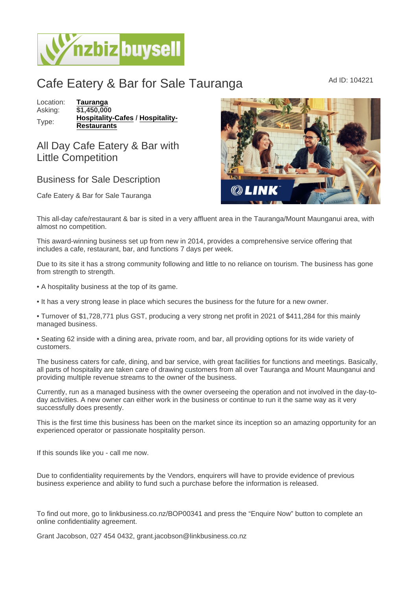## Cafe Eatery & Bar for Sale Tauranga Ad ID: 104221

Location: [Tauranga](https://www.nzbizbuysell.co.nz/businesses-for-sale/location/Tauranga) Asking: \$1,450,000 Type: [Hospitality-Cafes](https://www.nzbizbuysell.co.nz/businesses-for-sale/Cafes/New-Zealand) / [Hospitality-](https://www.nzbizbuysell.co.nz/businesses-for-sale/Restaurants/New-Zealand)**[Restaurants](https://www.nzbizbuysell.co.nz/businesses-for-sale/Restaurants/New-Zealand)** 

## All Day Cafe Eatery & Bar with Little Competition

## Business for Sale Description

Cafe Eatery & Bar for Sale Tauranga

This all-day cafe/restaurant & bar is sited in a very affluent area in the Tauranga/Mount Maunganui area, with almost no competition.

This award-winning business set up from new in 2014, provides a comprehensive service offering that includes a cafe, restaurant, bar, and functions 7 days per week.

Due to its site it has a strong community following and little to no reliance on tourism. The business has gone from strength to strength.

• A hospitality business at the top of its game.

• It has a very strong lease in place which secures the business for the future for a new owner.

• Turnover of \$1,728,771 plus GST, producing a very strong net profit in 2021 of \$411,284 for this mainly managed business.

• Seating 62 inside with a dining area, private room, and bar, all providing options for its wide variety of customers.

The business caters for cafe, dining, and bar service, with great facilities for functions and meetings. Basically, all parts of hospitality are taken care of drawing customers from all over Tauranga and Mount Maunganui and providing multiple revenue streams to the owner of the business.

Currently, run as a managed business with the owner overseeing the operation and not involved in the day-today activities. A new owner can either work in the business or continue to run it the same way as it very successfully does presently.

This is the first time this business has been on the market since its inception so an amazing opportunity for an experienced operator or passionate hospitality person.

If this sounds like you - call me now.

Due to confidentiality requirements by the Vendors, enquirers will have to provide evidence of previous business experience and ability to fund such a purchase before the information is released.

To find out more, go to linkbusiness.co.nz/BOP00341 and press the "Enquire Now" button to complete an online confidentiality agreement.

Grant Jacobson, 027 454 0432, grant.jacobson@linkbusiness.co.nz